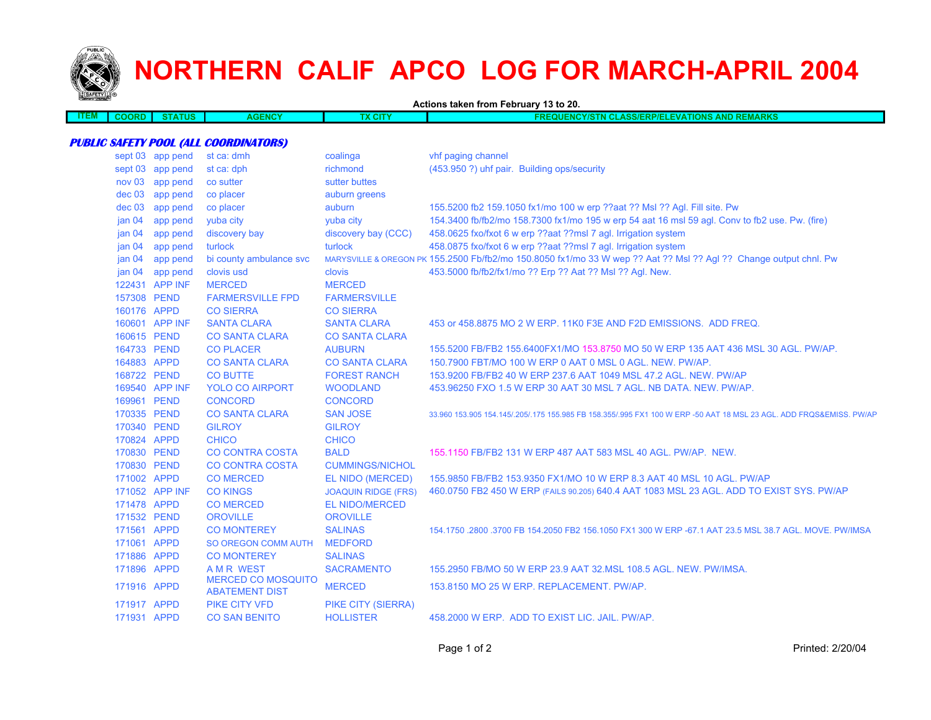

## **NORTHERN CALIF APCO LOG FOR MARCH-APRIL 2004**

**Actions taken from February 13 to 20.**

| ___<br>3 V L | אמנ | um<br>. | <b>NCY</b><br>AGE | <b>CITY</b> | <b>EMARKS</b><br>--<br>-1578<br>ли<br>.<br>.<br>1 V 1 J<br>----<br>.<br>.<br>8871 LL V |
|--------------|-----|---------|-------------------|-------------|----------------------------------------------------------------------------------------|
|              |     |         |                   |             |                                                                                        |
|              |     |         |                   |             |                                                                                        |

## **PUBLIC SAFETY POOL (ALL COORDINATORS)**

|                   | sept 03 app pend | st ca: dmh                                         | coalinga                   | vhf paging channel                                                                                                  |
|-------------------|------------------|----------------------------------------------------|----------------------------|---------------------------------------------------------------------------------------------------------------------|
|                   | sept 03 app pend | st ca: dph                                         | richmond                   | (453.950 ?) uhf pair. Building ops/security                                                                         |
| nov 03            | app pend         | co sutter                                          | sutter buttes              |                                                                                                                     |
| dec 03            | app pend         | co placer                                          | auburn greens              |                                                                                                                     |
| dec 03            | app pend         | co placer                                          | auburn                     | 155.5200 fb2 159.1050 fx1/mo 100 w erp ??aat ?? Msl ?? Agl. Fill site. Pw                                           |
| jan <sub>04</sub> | app pend         | yuba city                                          | yuba city                  | 154.3400 fb/fb2/mo 158.7300 fx1/mo 195 w erp 54 aat 16 msl 59 agl. Conv to fb2 use. Pw. (fire)                      |
| jan <sub>04</sub> | app pend         | discovery bay                                      | discovery bay (CCC)        | 458.0625 fxo/fxot 6 w erp ??aat ??msl 7 agl. Irrigation system                                                      |
| jan $04$          | app pend         | turlock                                            | turlock                    | 458.0875 fxo/fxot 6 w erp ??aat ??msl 7 agl. Irrigation system                                                      |
| jan <sub>04</sub> | app pend         | bi county ambulance svc                            |                            | MARYSVILLE & OREGON PK 155.2500 Fb/fb2/mo 150.8050 fx1/mo 33 W wep ?? Aat ?? Msl ?? Agl ?? Change output chnl. Pw   |
| jan <sub>04</sub> | app pend         | clovis usd                                         | clovis                     | 453.5000 fb/fb2/fx1/mo ?? Erp ?? Aat ?? Msl ?? Agl. New.                                                            |
|                   | 122431 APP INF   | <b>MERCED</b>                                      | <b>MERCED</b>              |                                                                                                                     |
| 157308 PEND       |                  | <b>FARMERSVILLE FPD</b>                            | <b>FARMERSVILLE</b>        |                                                                                                                     |
| 160176 APPD       |                  | <b>CO SIERRA</b>                                   | <b>CO SIERRA</b>           |                                                                                                                     |
|                   | 160601 APP INF   | <b>SANTA CLARA</b>                                 | <b>SANTA CLARA</b>         | 453 or 458.8875 MO 2 W ERP. 11K0 F3E AND F2D EMISSIONS. ADD FREQ.                                                   |
| 160615 PEND       |                  | <b>CO SANTA CLARA</b>                              | <b>CO SANTA CLARA</b>      |                                                                                                                     |
| 164733 PEND       |                  | <b>CO PLACER</b>                                   | <b>AUBURN</b>              | 155.5200 FB/FB2 155.6400FX1/MO 153.8750 MO 50 W ERP 135 AAT 436 MSL 30 AGL. PW/AP.                                  |
| 164883 APPD       |                  | <b>CO SANTA CLARA</b>                              | <b>CO SANTA CLARA</b>      | 150.7900 FBT/MO 100 W ERP 0 AAT 0 MSL 0 AGL. NEW. PW/AP.                                                            |
| 168722 PEND       |                  | <b>CO BUTTE</b>                                    | <b>FOREST RANCH</b>        | 153,9200 FB/FB2 40 W ERP 237.6 AAT 1049 MSL 47.2 AGL, NEW, PW/AP                                                    |
|                   | 169540 APP INF   | <b>YOLO CO AIRPORT</b>                             | <b>WOODLAND</b>            | 453.96250 FXO 1.5 W ERP 30 AAT 30 MSL 7 AGL. NB DATA. NEW. PW/AP.                                                   |
| 169961 PEND       |                  | <b>CONCORD</b>                                     | <b>CONCORD</b>             |                                                                                                                     |
| 170335 PEND       |                  | <b>CO SANTA CLARA</b>                              | <b>SAN JOSE</b>            | 33,960 153,905 154,145/.205/.175 155,985 FB 158,355/.995 FX1 100 W ERP -50 AAT 18 MSL 23 AGL. ADD FRQS&EMISS, PW/AP |
| 170340 PEND       |                  | <b>GILROY</b>                                      | <b>GILROY</b>              |                                                                                                                     |
| 170824 APPD       |                  | <b>CHICO</b>                                       | <b>CHICO</b>               |                                                                                                                     |
| 170830 PEND       |                  | <b>CO CONTRA COSTA</b>                             | <b>BALD</b>                | 155,1150 FB/FB2 131 W ERP 487 AAT 583 MSL 40 AGL, PW/AP, NEW.                                                       |
| 170830 PEND       |                  | <b>CO CONTRA COSTA</b>                             | <b>CUMMINGS/NICHOL</b>     |                                                                                                                     |
| 171002 APPD       |                  | <b>CO MERCED</b>                                   | EL NIDO (MERCED)           | 155,9850 FB/FB2 153,9350 FX1/MO 10 W ERP 8.3 AAT 40 MSL 10 AGL, PW/AP                                               |
|                   | 171052 APP INF   | <b>CO KINGS</b>                                    | <b>JOAQUIN RIDGE (FRS)</b> | 460.0750 FB2 450 W ERP (FAILS 90.205) 640.4 AAT 1083 MSL 23 AGL. ADD TO EXIST SYS. PW/AP                            |
| 171478 APPD       |                  | <b>CO MERCED</b>                                   | <b>EL NIDO/MERCED</b>      |                                                                                                                     |
| 171532 PEND       |                  | <b>OROVILLE</b>                                    | <b>OROVILLE</b>            |                                                                                                                     |
| 171561 APPD       |                  | <b>CO MONTEREY</b>                                 | <b>SALINAS</b>             | 154,1750,2800,3700 FB 154,2050 FB2 156,1050 FX1 300 W ERP -67,1 AAT 23,5 MSL 38,7 AGL, MOVE, PW/IMSA                |
| 171061 APPD       |                  | SO OREGON COMM AUTH                                | <b>MEDFORD</b>             |                                                                                                                     |
| 171886 APPD       |                  | <b>CO MONTEREY</b>                                 | <b>SALINAS</b>             |                                                                                                                     |
| 171896 APPD       |                  | <b>AMR WEST</b>                                    | <b>SACRAMENTO</b>          | 155,2950 FB/MO 50 W ERP 23.9 AAT 32.MSL 108.5 AGL, NEW, PW/IMSA.                                                    |
| 171916 APPD       |                  | <b>MERCED CO MOSQUITO</b><br><b>ABATEMENT DIST</b> | <b>MERCED</b>              | 153.8150 MO 25 W ERP. REPLACEMENT. PW/AP.                                                                           |
| 171917 APPD       |                  | <b>PIKE CITY VFD</b>                               | <b>PIKE CITY (SIERRA)</b>  |                                                                                                                     |
| 171931 APPD       |                  | <b>CO SAN BENITO</b>                               | <b>HOLLISTER</b>           | 458,2000 W ERP. ADD TO EXIST LIC. JAIL. PW/AP.                                                                      |